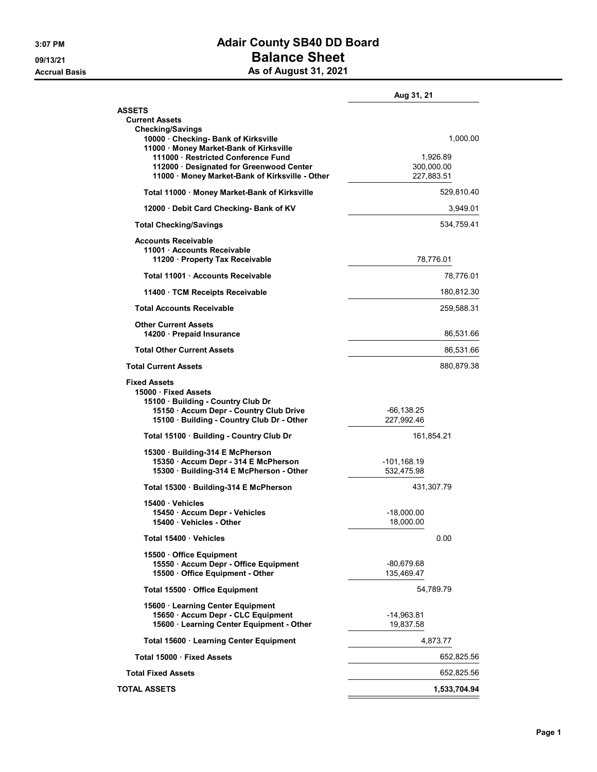## 3:07 PM **Adair County SB40 DD Board** 09/13/21<br>
09/13/21 **Balance Sheet**<br>
As of August 31, 2021

|  | As of August 31, 202 |  |  |
|--|----------------------|--|--|
|--|----------------------|--|--|

|                                                                                                                                    | Aug 31, 21                           |  |
|------------------------------------------------------------------------------------------------------------------------------------|--------------------------------------|--|
| <b>ASSETS</b><br><b>Current Assets</b><br><b>Checking/Savings</b>                                                                  |                                      |  |
| 10000 · Checking- Bank of Kirksville<br>11000 · Money Market-Bank of Kirksville                                                    | 1,000.00                             |  |
| 111000 · Restricted Conference Fund<br>112000 · Designated for Greenwood Center<br>11000 · Money Market-Bank of Kirksville - Other | 1,926.89<br>300,000.00<br>227,883.51 |  |
| Total 11000 · Money Market-Bank of Kirksville                                                                                      | 529,810.40                           |  |
| 12000 Debit Card Checking- Bank of KV                                                                                              | 3,949.01                             |  |
| <b>Total Checking/Savings</b>                                                                                                      | 534,759.41                           |  |
| Accounts Receivable<br>11001 · Accounts Receivable<br>11200 · Property Tax Receivable                                              | 78,776.01                            |  |
| Total 11001 Accounts Receivable                                                                                                    | 78,776.01                            |  |
| 11400 · TCM Receipts Receivable                                                                                                    | 180,812.30                           |  |
| <b>Total Accounts Receivable</b>                                                                                                   | 259,588.31                           |  |
| <b>Other Current Assets</b><br>14200 · Prepaid Insurance                                                                           | 86,531.66                            |  |
| <b>Total Other Current Assets</b>                                                                                                  | 86,531.66                            |  |
| <b>Total Current Assets</b>                                                                                                        | 880,879.38                           |  |
| <b>Fixed Assets</b><br>15000 · Fixed Assets<br>15100 · Building - Country Club Dr                                                  |                                      |  |
| 15150 · Accum Depr - Country Club Drive<br>15100 · Building - Country Club Dr - Other                                              | -66,138.25<br>227,992.46             |  |
| Total 15100 · Building - Country Club Dr                                                                                           | 161,854.21                           |  |
| 15300 · Building-314 E McPherson<br>15350 · Accum Depr - 314 E McPherson<br>15300 · Building-314 E McPherson - Other               | -101,168.19<br>532,475.98            |  |
| Total 15300 · Building-314 E McPherson                                                                                             | 431,307.79                           |  |
| 15400 Vehicles                                                                                                                     |                                      |  |
| 15450 · Accum Depr - Vehicles<br>15400 · Vehicles - Other                                                                          | $-18,000.00$<br>18,000.00            |  |
| Total 15400 Vehicles                                                                                                               | 0.00                                 |  |
| 15500 Office Equipment                                                                                                             |                                      |  |
| 15550 · Accum Depr - Office Equipment<br>15500 Office Equipment - Other                                                            | $-80,679.68$<br>135,469.47           |  |
| Total 15500 Office Equipment                                                                                                       | 54,789.79                            |  |
| 15600 · Learning Center Equipment                                                                                                  |                                      |  |
| 15650 · Accum Depr - CLC Equipment<br>15600 · Learning Center Equipment - Other                                                    | $-14,963.81$<br>19.837.58            |  |
| Total 15600 · Learning Center Equipment                                                                                            | 4,873.77                             |  |
| Total 15000 · Fixed Assets                                                                                                         | 652,825.56                           |  |
| <b>Total Fixed Assets</b>                                                                                                          | 652,825.56                           |  |
| <b>TOTAL ASSETS</b>                                                                                                                | 1,533,704.94                         |  |